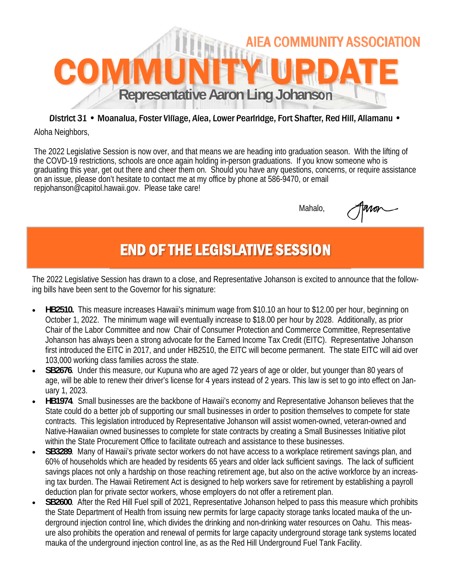

#### District 31 • Moanalua, Foster Village, Aiea, Lower Pearlridge, Fort Shafter, Red Hill, Aliamanu •

Aloha Neighbors,

The 2022 Legislative Session is now over, and that means we are heading into graduation season. With the lifting of the COVD-19 restrictions, schools are once again holding in-person graduations. If you know someone who is graduating this year, get out there and cheer them on. Should you have any questions, concerns, or require assistance on an issue, please don't hesitate to contact me at my office by phone at 586-9470, or email repjohanson@capitol.hawaii.gov. Please take care!

Mahalo,

## END OF THE LEGISLATIVE SESSION

The 2022 Legislative Session has drawn to a close, and Representative Johanson is excited to announce that the following bills have been sent to the Governor for his signature:

- **HB2510.** This measure increases Hawaii's minimum wage from \$10.10 an hour to \$12.00 per hour, beginning on October 1, 2022. The minimum wage will eventually increase to \$18.00 per hour by 2028. Additionally, as prior Chair of the Labor Committee and now Chair of Consumer Protection and Commerce Committee, Representative Johanson has always been a strong advocate for the Earned Income Tax Credit (EITC). Representative Johanson first introduced the EITC in 2017, and under HB2510, the EITC will become permanent. The state EITC will aid over 103,000 working class families across the state.
- SB2676. Under this measure, our Kupuna who are aged 72 years of age or older, but younger than 80 years of age, will be able to renew their driver's license for 4 years instead of 2 years. This law is set to go into effect on January 1, 2023.
- **HB1974**. Small businesses are the backbone of Hawaii's economy and Representative Johanson believes that the State could do a better job of supporting our small businesses in order to position themselves to compete for state contracts. This legislation introduced by Representative Johanson will assist women-owned, veteran-owned and Native-Hawaiian owned businesses to complete for state contracts by creating a Small Businesses Initiative pilot within the State Procurement Office to facilitate outreach and assistance to these businesses.
- **SB3289**. Many of Hawaii's private sector workers do not have access to a workplace retirement savings plan, and 60% of households which are headed by residents 65 years and older lack sufficient savings. The lack of sufficient savings places not only a hardship on those reaching retirement age, but also on the active workforce by an increasing tax burden. The Hawaii Retirement Act is designed to help workers save for retirement by establishing a payroll deduction plan for private sector workers, whose employers do not offer a retirement plan.
- **SB2600**. After the Red Hill Fuel spill of 2021, Representative Johanson helped to pass this measure which prohibits the State Department of Health from issuing new permits for large capacity storage tanks located mauka of the underground injection control line, which divides the drinking and non-drinking water resources on Oahu. This measure also prohibits the operation and renewal of permits for large capacity underground storage tank systems located mauka of the underground injection control line, as as the Red Hill Underground Fuel Tank Facility.